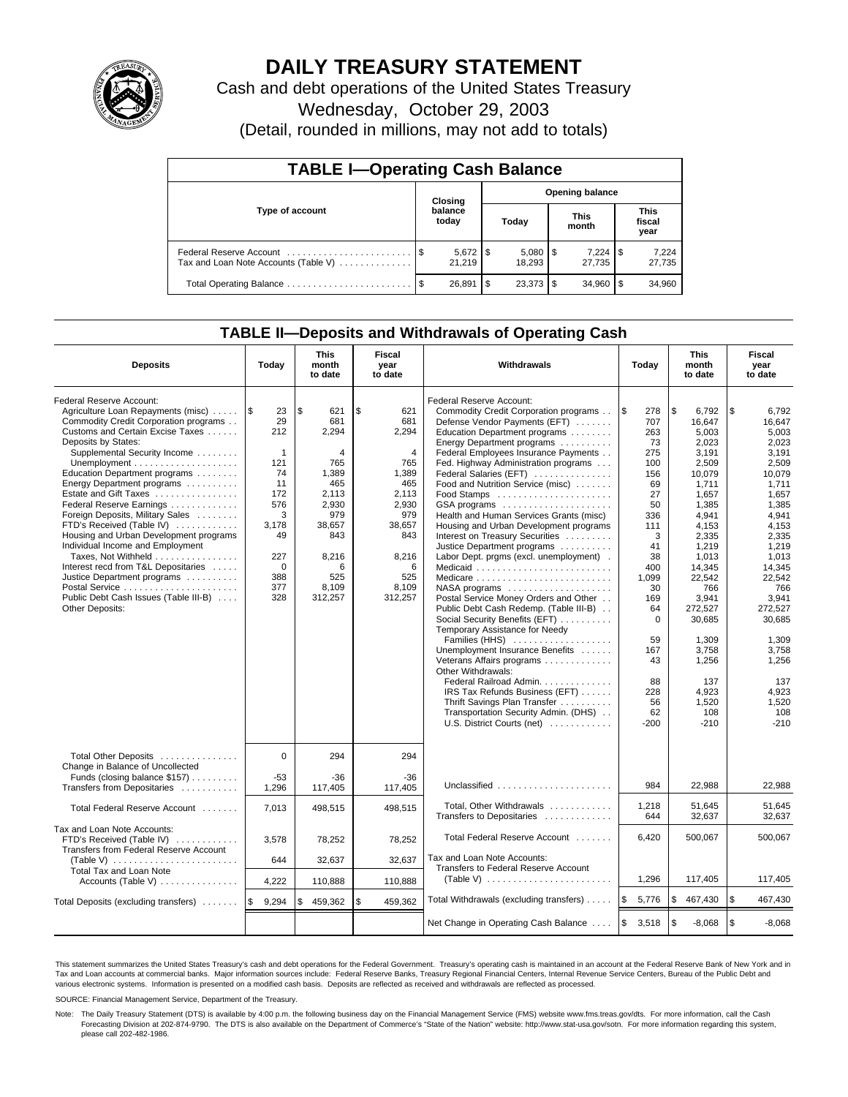

# **DAILY TREASURY STATEMENT**

Cash and debt operations of the United States Treasury

Wednesday, October 29, 2003

(Detail, rounded in millions, may not add to totals)

| <b>TABLE I-Operating Cash Balance</b> |  |                  |                        |                          |                      |                 |                               |                 |  |  |
|---------------------------------------|--|------------------|------------------------|--------------------------|----------------------|-----------------|-------------------------------|-----------------|--|--|
| Type of account                       |  | Closing          | <b>Opening balance</b> |                          |                      |                 |                               |                 |  |  |
|                                       |  | balance<br>today | Today                  |                          | <b>This</b><br>month |                 | <b>This</b><br>fiscal<br>year |                 |  |  |
| Tax and Loan Note Accounts (Table V)  |  | 21.219           |                        | $5,080$ \ \ \$<br>18.293 |                      | 7,224<br>27.735 | 1\$                           | 7,224<br>27,735 |  |  |
|                                       |  | 26,891           | l \$                   |                          |                      | 34.960          |                               | 34,960          |  |  |

# **TABLE II—Deposits and Withdrawals of Operating Cash**

| <b>Deposits</b>                                                                                                                                                                                                                                                                                                                                                                                                                                                                                                                                                                                                                       | Today                                                                                                                                  | <b>This</b><br>month<br>to date                                                                                                            | Fiscal<br>year<br>to date                                                                                                                | <b>Withdrawals</b>                                                                                                                                                                                                                                                                                                                                                                                                                                                                                                                                                                                                                                                                                                                                                                                                                                                                                                                                                                                                                                   | Today                                                                                                                                                                                                          | <b>This</b><br>month<br>to date                                                                                                                                                                                                                                           | Fiscal<br>year<br>to date                                                                                                                                                                                                                                                 |
|---------------------------------------------------------------------------------------------------------------------------------------------------------------------------------------------------------------------------------------------------------------------------------------------------------------------------------------------------------------------------------------------------------------------------------------------------------------------------------------------------------------------------------------------------------------------------------------------------------------------------------------|----------------------------------------------------------------------------------------------------------------------------------------|--------------------------------------------------------------------------------------------------------------------------------------------|------------------------------------------------------------------------------------------------------------------------------------------|------------------------------------------------------------------------------------------------------------------------------------------------------------------------------------------------------------------------------------------------------------------------------------------------------------------------------------------------------------------------------------------------------------------------------------------------------------------------------------------------------------------------------------------------------------------------------------------------------------------------------------------------------------------------------------------------------------------------------------------------------------------------------------------------------------------------------------------------------------------------------------------------------------------------------------------------------------------------------------------------------------------------------------------------------|----------------------------------------------------------------------------------------------------------------------------------------------------------------------------------------------------------------|---------------------------------------------------------------------------------------------------------------------------------------------------------------------------------------------------------------------------------------------------------------------------|---------------------------------------------------------------------------------------------------------------------------------------------------------------------------------------------------------------------------------------------------------------------------|
| Federal Reserve Account:<br>Agriculture Loan Repayments (misc)<br>Commodity Credit Corporation programs<br>Customs and Certain Excise Taxes<br>Deposits by States:<br>Supplemental Security Income<br>Education Department programs<br>Energy Department programs<br>Estate and Gift Taxes<br>Federal Reserve Earnings<br>Foreign Deposits, Military Sales<br>FTD's Received (Table IV)<br>Housing and Urban Development programs<br>Individual Income and Employment<br>Taxes, Not Withheld<br>Interest recd from T&L Depositaries<br>Justice Department programs<br>Public Debt Cash Issues (Table III-B)<br><b>Other Deposits:</b> | 1\$<br>23<br>29<br>212<br>$\mathbf{1}$<br>121<br>74<br>11<br>172<br>576<br>3<br>3,178<br>49<br>227<br>$\mathbf 0$<br>388<br>377<br>328 | l \$<br>621<br>681<br>2,294<br>4<br>765<br>1,389<br>465<br>2.113<br>2,930<br>979<br>38,657<br>843<br>8,216<br>6<br>525<br>8,109<br>312,257 | \$<br>621<br>681<br>2,294<br>4<br>765<br>1,389<br>465<br>2.113<br>2,930<br>979<br>38,657<br>843<br>8,216<br>6<br>525<br>8,109<br>312,257 | Federal Reserve Account:<br>Commodity Credit Corporation programs<br>Defense Vendor Payments (EFT)<br>Education Department programs<br>Energy Department programs<br>Federal Employees Insurance Payments<br>Fed. Highway Administration programs<br>Federal Salaries (EFT)<br>Food and Nutrition Service (misc)<br>GSA programs<br>Health and Human Services Grants (misc)<br>Housing and Urban Development programs<br>Interest on Treasury Securities<br>Justice Department programs<br>Labor Dept. prgms (excl. unemployment).<br>Medicaid<br>Medicare<br>$NASA$ programs $\ldots \ldots \ldots \ldots \ldots$<br>Postal Service Money Orders and Other<br>Public Debt Cash Redemp. (Table III-B)<br>Social Security Benefits (EFT)<br>Temporary Assistance for Needy<br>Families (HHS)<br>Unemployment Insurance Benefits<br>Veterans Affairs programs<br>Other Withdrawals:<br>Federal Railroad Admin.<br>IRS Tax Refunds Business (EFT)<br>Thrift Savings Plan Transfer<br>Transportation Security Admin. (DHS)<br>U.S. District Courts (net) | <b>S</b><br>278<br>707<br>263<br>73<br>275<br>100<br>156<br>69<br>27<br>50<br>336<br>111<br>3<br>41<br>38<br>400<br>1,099<br>30<br>169<br>64<br>$\Omega$<br>59<br>167<br>43<br>88<br>228<br>56<br>62<br>$-200$ | \$<br>6,792<br>16.647<br>5.003<br>2,023<br>3,191<br>2,509<br>10,079<br>1,711<br>1.657<br>1,385<br>4,941<br>4,153<br>2,335<br>1,219<br>1,013<br>14.345<br>22,542<br>766<br>3.941<br>272,527<br>30,685<br>1.309<br>3,758<br>1,256<br>137<br>4,923<br>1,520<br>108<br>$-210$ | \$<br>6,792<br>16.647<br>5.003<br>2.023<br>3,191<br>2,509<br>10,079<br>1,711<br>1.657<br>1,385<br>4,941<br>4,153<br>2,335<br>1,219<br>1,013<br>14.345<br>22.542<br>766<br>3.941<br>272,527<br>30,685<br>1.309<br>3,758<br>1,256<br>137<br>4,923<br>1,520<br>108<br>$-210$ |
| Total Other Deposits<br>Change in Balance of Uncollected<br>Funds (closing balance \$157)<br>Transfers from Depositaries                                                                                                                                                                                                                                                                                                                                                                                                                                                                                                              | $\mathbf 0$<br>$-53$<br>1,296                                                                                                          | 294<br>$-36$                                                                                                                               | 294<br>-36<br>117,405                                                                                                                    | Unclassified                                                                                                                                                                                                                                                                                                                                                                                                                                                                                                                                                                                                                                                                                                                                                                                                                                                                                                                                                                                                                                         | 984                                                                                                                                                                                                            | 22.988                                                                                                                                                                                                                                                                    | 22.988                                                                                                                                                                                                                                                                    |
| Total Federal Reserve Account                                                                                                                                                                                                                                                                                                                                                                                                                                                                                                                                                                                                         | 7,013                                                                                                                                  | 117,405<br>498,515                                                                                                                         | 498,515                                                                                                                                  | Total, Other Withdrawals<br>Transfers to Depositaries                                                                                                                                                                                                                                                                                                                                                                                                                                                                                                                                                                                                                                                                                                                                                                                                                                                                                                                                                                                                | 1,218<br>644                                                                                                                                                                                                   | 51,645<br>32,637                                                                                                                                                                                                                                                          | 51,645<br>32,637                                                                                                                                                                                                                                                          |
| Tax and Loan Note Accounts:<br>FTD's Received (Table IV)<br>Transfers from Federal Reserve Account<br>Total Tax and Loan Note                                                                                                                                                                                                                                                                                                                                                                                                                                                                                                         | 3.578<br>644                                                                                                                           | 78,252<br>32,637                                                                                                                           | 78,252<br>32,637                                                                                                                         | Total Federal Reserve Account<br>Tax and Loan Note Accounts:<br>Transfers to Federal Reserve Account                                                                                                                                                                                                                                                                                                                                                                                                                                                                                                                                                                                                                                                                                                                                                                                                                                                                                                                                                 | 6,420                                                                                                                                                                                                          | 500,067                                                                                                                                                                                                                                                                   | 500,067                                                                                                                                                                                                                                                                   |
| Accounts (Table V)                                                                                                                                                                                                                                                                                                                                                                                                                                                                                                                                                                                                                    | 4,222                                                                                                                                  | 110,888                                                                                                                                    | 110,888                                                                                                                                  | (Table V) $\ldots \ldots \ldots \ldots \ldots \ldots \ldots$                                                                                                                                                                                                                                                                                                                                                                                                                                                                                                                                                                                                                                                                                                                                                                                                                                                                                                                                                                                         | 1,296                                                                                                                                                                                                          | 117,405                                                                                                                                                                                                                                                                   | 117,405                                                                                                                                                                                                                                                                   |
| Total Deposits (excluding transfers)                                                                                                                                                                                                                                                                                                                                                                                                                                                                                                                                                                                                  | 9.294<br>1\$                                                                                                                           | 459.362<br>\$                                                                                                                              | \$<br>459.362                                                                                                                            | Total Withdrawals (excluding transfers)                                                                                                                                                                                                                                                                                                                                                                                                                                                                                                                                                                                                                                                                                                                                                                                                                                                                                                                                                                                                              | ۱\$<br>5,776                                                                                                                                                                                                   | \$<br>467,430                                                                                                                                                                                                                                                             | \$<br>467,430                                                                                                                                                                                                                                                             |
|                                                                                                                                                                                                                                                                                                                                                                                                                                                                                                                                                                                                                                       |                                                                                                                                        |                                                                                                                                            |                                                                                                                                          | Net Change in Operating Cash Balance                                                                                                                                                                                                                                                                                                                                                                                                                                                                                                                                                                                                                                                                                                                                                                                                                                                                                                                                                                                                                 | l\$<br>3,518                                                                                                                                                                                                   | \$<br>$-8,068$                                                                                                                                                                                                                                                            | l \$<br>$-8,068$                                                                                                                                                                                                                                                          |

This statement summarizes the United States Treasury's cash and debt operations for the Federal Government. Treasury's operating cash is maintained in an account at the Federal Reserve Bank of New York and in Tax and Loan accounts at commercial banks. Major information sources include: Federal Reserve Banks, Treasury Regional Financial Centers, Internal Revenue Service Centers, Bureau of the Public Debt and<br>various electronic s

SOURCE: Financial Management Service, Department of the Treasury.

Note: The Daily Treasury Statement (DTS) is available by 4:00 p.m. the following business day on the Financial Management Service (FMS) website www.fms.treas.gov/dts. For more information, call the Cash Forecasting Division at 202-874-9790. The DTS is also available on the Department of Commerce's "State of the Nation" website: http://www.stat-usa.gov/sotn. For more information regarding this system, please call 202-482-1986.